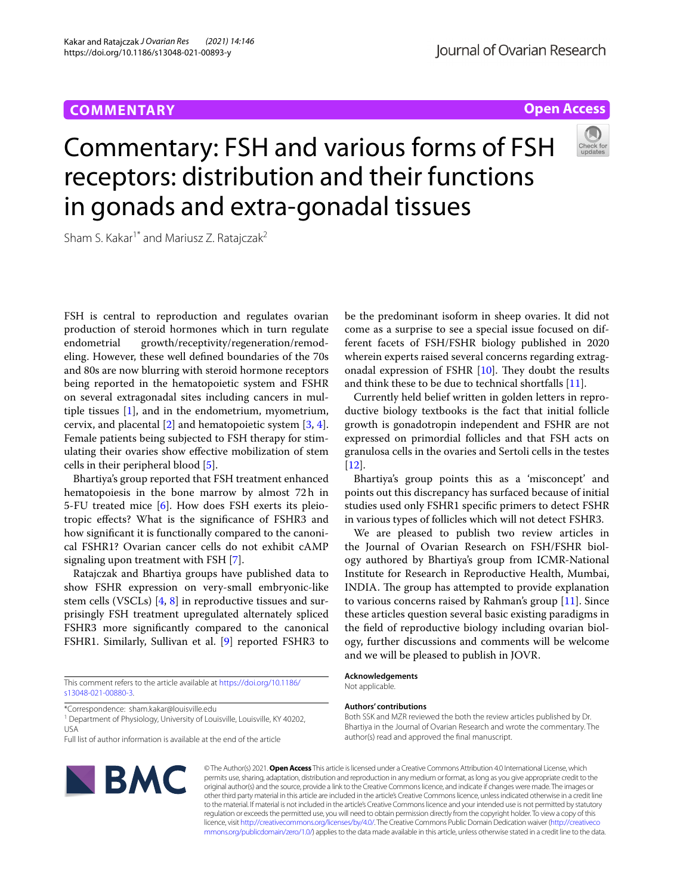## **COMMENTARY**

### **Open Access**

# Commentary: FSH and various forms of FSH receptors: distribution and their functions in gonads and extra-gonadal tissues



Sham S. Kakar<sup>1\*</sup> and Mariusz Z. Ratajczak<sup>2</sup>

FSH is central to reproduction and regulates ovarian production of steroid hormones which in turn regulate endometrial growth/receptivity/regeneration/remodeling. However, these well defned boundaries of the 70s and 80s are now blurring with steroid hormone receptors being reported in the hematopoietic system and FSHR on several extragonadal sites including cancers in multiple tissues [\[1\]](#page-1-0), and in the endometrium, myometrium, cervix, and placental [[2\]](#page-1-1) and hematopoietic system [[3](#page-1-2), [4](#page-1-3)]. Female patients being subjected to FSH therapy for stimulating their ovaries show efective mobilization of stem cells in their peripheral blood [\[5](#page-1-4)].

Bhartiya's group reported that FSH treatment enhanced hematopoiesis in the bone marrow by almost 72h in 5-FU treated mice [[6\]](#page-1-5). How does FSH exerts its pleiotropic efects? What is the signifcance of FSHR3 and how signifcant it is functionally compared to the canonical FSHR1? Ovarian cancer cells do not exhibit cAMP signaling upon treatment with FSH [[7](#page-1-6)].

Ratajczak and Bhartiya groups have published data to show FSHR expression on very-small embryonic-like stem cells (VSCLs)  $[4, 8]$  $[4, 8]$  $[4, 8]$  in reproductive tissues and surprisingly FSH treatment upregulated alternately spliced FSHR3 more signifcantly compared to the canonical FSHR1. Similarly, Sullivan et al. [[9\]](#page-1-8) reported FSHR3 to

This comment refers to the article available at [https://doi.org/10.1186/](https://doi.org/10.1186/s13048-021-00880-3) [s13048-021-00880-3](https://doi.org/10.1186/s13048-021-00880-3).

\*Correspondence: sham.kakar@louisville.edu

<sup>1</sup> Department of Physiology, University of Louisville, Louisville, KY 40202, USA

Full list of author information is available at the end of the article



be the predominant isoform in sheep ovaries. It did not come as a surprise to see a special issue focused on different facets of FSH/FSHR biology published in 2020 wherein experts raised several concerns regarding extragonadal expression of FSHR  $[10]$  $[10]$ . They doubt the results and think these to be due to technical shortfalls [\[11](#page-1-10)].

Currently held belief written in golden letters in reproductive biology textbooks is the fact that initial follicle growth is gonadotropin independent and FSHR are not expressed on primordial follicles and that FSH acts on granulosa cells in the ovaries and Sertoli cells in the testes [[12\]](#page-1-11).

Bhartiya's group points this as a 'misconcept' and points out this discrepancy has surfaced because of initial studies used only FSHR1 specifc primers to detect FSHR in various types of follicles which will not detect FSHR3.

We are pleased to publish two review articles in the Journal of Ovarian Research on FSH/FSHR biology authored by Bhartiya's group from ICMR-National Institute for Research in Reproductive Health, Mumbai, INDIA. The group has attempted to provide explanation to various concerns raised by Rahman's group [[11\]](#page-1-10). Since these articles question several basic existing paradigms in the feld of reproductive biology including ovarian biology, further discussions and comments will be welcome and we will be pleased to publish in JOVR.

**Acknowledgements** Not applicable.

#### **Authors' contributions**

Both SSK and MZR reviewed the both the review articles published by Dr. Bhartiya in the Journal of Ovarian Research and wrote the commentary. The author(s) read and approved the fnal manuscript.

© The Author(s) 2021. **Open Access** This article is licensed under a Creative Commons Attribution 4.0 International License, which permits use, sharing, adaptation, distribution and reproduction in any medium or format, as long as you give appropriate credit to the original author(s) and the source, provide a link to the Creative Commons licence, and indicate if changes were made. The images or other third party material in this article are included in the article's Creative Commons licence, unless indicated otherwise in a credit line to the material. If material is not included in the article's Creative Commons licence and your intended use is not permitted by statutory regulation or exceeds the permitted use, you will need to obtain permission directly from the copyright holder. To view a copy of this licence, visit [http://creativecommons.org/licenses/by/4.0/.](http://creativecommons.org/licenses/by/4.0/) The Creative Commons Public Domain Dedication waiver ([http://creativeco](http://creativecommons.org/publicdomain/zero/1.0/) [mmons.org/publicdomain/zero/1.0/](http://creativecommons.org/publicdomain/zero/1.0/)) applies to the data made available in this article, unless otherwise stated in a credit line to the data.